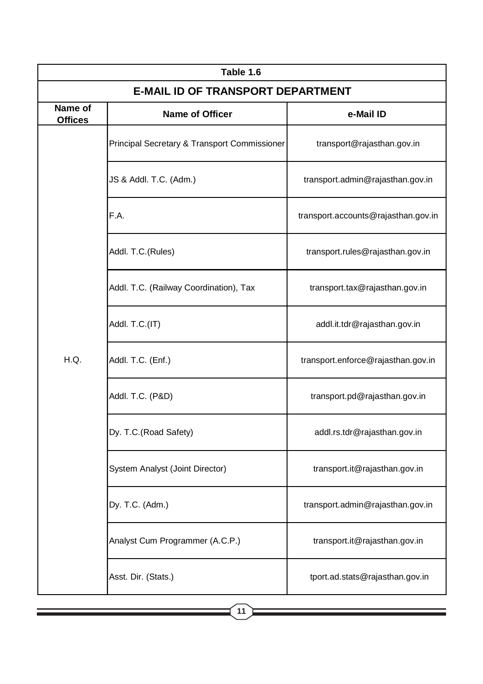| Table 1.6                                |                                              |                                     |  |  |
|------------------------------------------|----------------------------------------------|-------------------------------------|--|--|
| <b>E-MAIL ID OF TRANSPORT DEPARTMENT</b> |                                              |                                     |  |  |
| <b>Name of</b><br><b>Offices</b>         | <b>Name of Officer</b>                       | e-Mail ID                           |  |  |
| H.Q.                                     | Principal Secretary & Transport Commissioner | transport@rajasthan.gov.in          |  |  |
|                                          | JS & Addl. T.C. (Adm.)                       | transport.admin@rajasthan.gov.in    |  |  |
|                                          | F.A.                                         | transport.accounts@rajasthan.gov.in |  |  |
|                                          | Addl. T.C. (Rules)                           | transport.rules@rajasthan.gov.in    |  |  |
|                                          | Addl. T.C. (Railway Coordination), Tax       | transport.tax@rajasthan.gov.in      |  |  |
|                                          | Addl. T.C.(IT)                               | addl.it.tdr@rajasthan.gov.in        |  |  |
|                                          | Addl. T.C. (Enf.)                            | transport.enforce@rajasthan.gov.in  |  |  |
|                                          | Addl. T.C. (P&D)                             | transport.pd@rajasthan.gov.in       |  |  |
|                                          | Dy. T.C.(Road Safety)                        | addl.rs.tdr@rajasthan.gov.in        |  |  |
|                                          | System Analyst (Joint Director)              | transport.it@rajasthan.gov.in       |  |  |
|                                          | Dy. T.C. (Adm.)                              | transport.admin@rajasthan.gov.in    |  |  |
|                                          | Analyst Cum Programmer (A.C.P.)              | transport.it@rajasthan.gov.in       |  |  |
|                                          | Asst. Dir. (Stats.)                          | tport.ad.stats@rajasthan.gov.in     |  |  |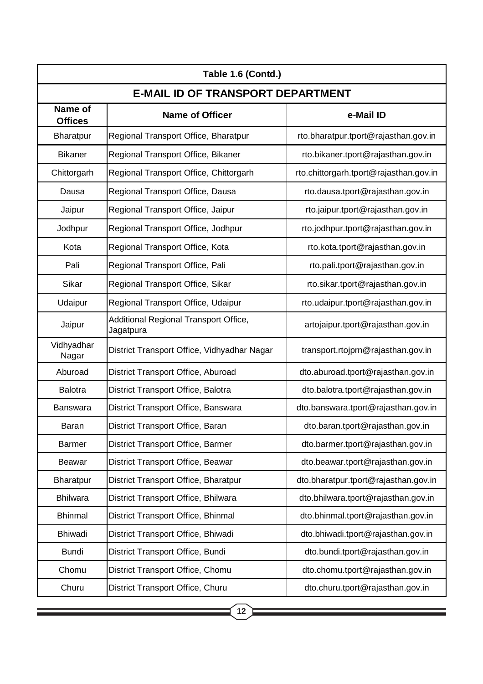| Table 1.6 (Contd.)                       |                                                    |                                        |  |  |
|------------------------------------------|----------------------------------------------------|----------------------------------------|--|--|
| <b>E-MAIL ID OF TRANSPORT DEPARTMENT</b> |                                                    |                                        |  |  |
| Name of<br><b>Offices</b>                | <b>Name of Officer</b>                             | e-Mail ID                              |  |  |
| <b>Bharatpur</b>                         | Regional Transport Office, Bharatpur               | rto.bharatpur.tport@rajasthan.gov.in   |  |  |
| <b>Bikaner</b>                           | Regional Transport Office, Bikaner                 | rto.bikaner.tport@rajasthan.gov.in     |  |  |
| Chittorgarh                              | Regional Transport Office, Chittorgarh             | rto.chittorgarh.tport@rajasthan.gov.in |  |  |
| Dausa                                    | Regional Transport Office, Dausa                   | rto.dausa.tport@rajasthan.gov.in       |  |  |
| Jaipur                                   | Regional Transport Office, Jaipur                  | rto.jaipur.tport@rajasthan.gov.in      |  |  |
| Jodhpur                                  | Regional Transport Office, Jodhpur                 | rto.jodhpur.tport@rajasthan.gov.in     |  |  |
| Kota                                     | Regional Transport Office, Kota                    | rto.kota.tport@rajasthan.gov.in        |  |  |
| Pali                                     | Regional Transport Office, Pali                    | rto.pali.tport@rajasthan.gov.in        |  |  |
| Sikar                                    | Regional Transport Office, Sikar                   | rto.sikar.tport@rajasthan.gov.in       |  |  |
| Udaipur                                  | Regional Transport Office, Udaipur                 | rto.udaipur.tport@rajasthan.gov.in     |  |  |
| Jaipur                                   | Additional Regional Transport Office,<br>Jagatpura | artojaipur.tport@rajasthan.gov.in      |  |  |
| Vidhyadhar<br>Nagar                      | District Transport Office, Vidhyadhar Nagar        | transport.rtojprn@rajasthan.gov.in     |  |  |
| Aburoad                                  | District Transport Office, Aburoad                 | dto.aburoad.tport@rajasthan.gov.in     |  |  |
| <b>Balotra</b>                           | District Transport Office, Balotra                 | dto.balotra.tport@rajasthan.gov.in     |  |  |
| <b>Banswara</b>                          | District Transport Office, Banswara                | dto.banswara.tport@rajasthan.gov.in    |  |  |
| Baran                                    | District Transport Office, Baran                   | dto.baran.tport@rajasthan.gov.in       |  |  |
| <b>Barmer</b>                            | District Transport Office, Barmer                  | dto.barmer.tport@rajasthan.gov.in      |  |  |
| <b>Beawar</b>                            | District Transport Office, Beawar                  | dto.beawar.tport@rajasthan.gov.in      |  |  |
| Bharatpur                                | District Transport Office, Bharatpur               | dto.bharatpur.tport@rajasthan.gov.in   |  |  |
| <b>Bhilwara</b>                          | District Transport Office, Bhilwara                | dto.bhilwara.tport@rajasthan.gov.in    |  |  |
| <b>Bhinmal</b>                           | District Transport Office, Bhinmal                 | dto.bhinmal.tport@rajasthan.gov.in     |  |  |
| <b>Bhiwadi</b>                           | District Transport Office, Bhiwadi                 | dto.bhiwadi.tport@rajasthan.gov.in     |  |  |
| <b>Bundi</b>                             | District Transport Office, Bundi                   | dto.bundi.tport@rajasthan.gov.in       |  |  |
| Chomu                                    | District Transport Office, Chomu                   | dto.chomu.tport@rajasthan.gov.in       |  |  |
| Churu                                    | District Transport Office, Churu                   | dto.churu.tport@rajasthan.gov.in       |  |  |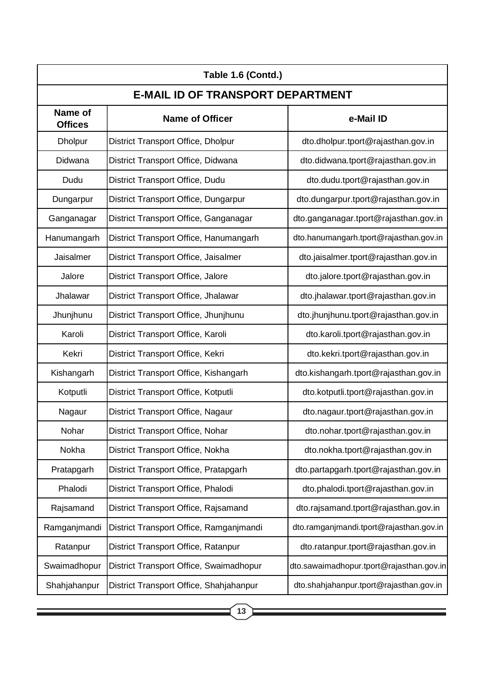| Table 1.6 (Contd.)                       |                                         |                                          |  |  |
|------------------------------------------|-----------------------------------------|------------------------------------------|--|--|
| <b>E-MAIL ID OF TRANSPORT DEPARTMENT</b> |                                         |                                          |  |  |
| Name of<br><b>Offices</b>                | <b>Name of Officer</b>                  | e-Mail ID                                |  |  |
| <b>Dholpur</b>                           | District Transport Office, Dholpur      | dto.dholpur.tport@rajasthan.gov.in       |  |  |
| Didwana                                  | District Transport Office, Didwana      | dto.didwana.tport@rajasthan.gov.in       |  |  |
| Dudu                                     | District Transport Office, Dudu         | dto.dudu.tport@rajasthan.gov.in          |  |  |
| Dungarpur                                | District Transport Office, Dungarpur    | dto.dungarpur.tport@rajasthan.gov.in     |  |  |
| Ganganagar                               | District Transport Office, Ganganagar   | dto.ganganagar.tport@rajasthan.gov.in    |  |  |
| Hanumangarh                              | District Transport Office, Hanumangarh  | dto.hanumangarh.tport@rajasthan.gov.in   |  |  |
| Jaisalmer                                | District Transport Office, Jaisalmer    | dto.jaisalmer.tport@rajasthan.gov.in     |  |  |
| Jalore                                   | District Transport Office, Jalore       | dto.jalore.tport@rajasthan.gov.in        |  |  |
| Jhalawar                                 | District Transport Office, Jhalawar     | dto.jhalawar.tport@rajasthan.gov.in      |  |  |
| Jhunjhunu                                | District Transport Office, Jhunjhunu    | dto.jhunjhunu.tport@rajasthan.gov.in     |  |  |
| Karoli                                   | District Transport Office, Karoli       | dto.karoli.tport@rajasthan.gov.in        |  |  |
| Kekri                                    | District Transport Office, Kekri        | dto.kekri.tport@rajasthan.gov.in         |  |  |
| Kishangarh                               | District Transport Office, Kishangarh   | dto.kishangarh.tport@rajasthan.gov.in    |  |  |
| Kotputli                                 | District Transport Office, Kotputli     | dto.kotputli.tport@rajasthan.gov.in      |  |  |
| Nagaur                                   | District Transport Office, Nagaur       | dto.nagaur.tport@rajasthan.gov.in        |  |  |
| Nohar                                    | District Transport Office, Nohar        | dto.nohar.tport@rajasthan.gov.in         |  |  |
| Nokha                                    | District Transport Office, Nokha        | dto.nokha.tport@rajasthan.gov.in         |  |  |
| Pratapgarh                               | District Transport Office, Pratapgarh   | dto.partapgarh.tport@rajasthan.gov.in    |  |  |
| Phalodi                                  | District Transport Office, Phalodi      | dto.phalodi.tport@rajasthan.gov.in       |  |  |
| Rajsamand                                | District Transport Office, Rajsamand    | dto.rajsamand.tport@rajasthan.gov.in     |  |  |
| Ramganjmandi                             | District Transport Office, Ramganjmandi | dto.ramganjmandi.tport@rajasthan.gov.in  |  |  |
| Ratanpur                                 | District Transport Office, Ratanpur     | dto.ratanpur.tport@rajasthan.gov.in      |  |  |
| Swaimadhopur                             | District Transport Office, Swaimadhopur | dto.sawaimadhopur.tport@rajasthan.gov.in |  |  |
| Shahjahanpur                             | District Transport Office, Shahjahanpur | dto.shahjahanpur.tport@rajasthan.gov.in  |  |  |